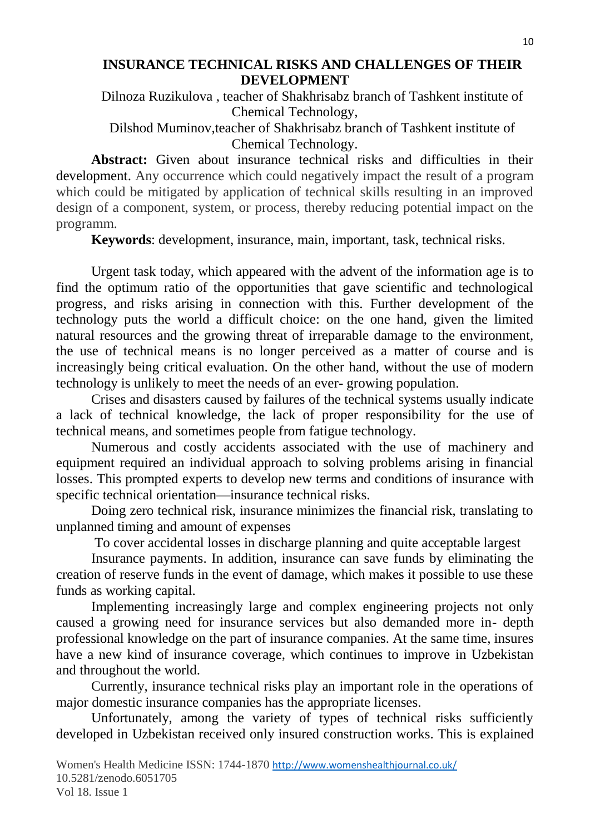## **INSURANCE TECHNICAL RISKS AND CHALLENGES OF THEIR DEVELOPMENT**

Dilnoza Ruzikulova , teacher of Shakhrisabz branch of Tashkent institute of Chemical Technology,

Dilshod Muminov,teacher of Shakhrisabz branch of Tashkent institute of Chemical Technology.

**Abstract:** Given about insurance technical risks and difficulties in their development. Any occurrence which could negatively impact the result of a program which could be mitigated by application of technical skills resulting in an improved design of a component, system, or process, thereby reducing potential impact on the programm.

**Keywords**: development, insurance, main, important, task, technical risks.

Urgent task today, which appeared with the advent of the information age is to find the optimum ratio of the opportunities that gave scientific and technological progress, and risks arising in connection with this. Further development of the technology puts the world a difficult choice: on the one hand, given the limited natural resources and the growing threat of irreparable damage to the environment, the use of technical means is no longer perceived as a matter of course and is increasingly being critical evaluation. On the other hand, without the use of modern technology is unlikely to meet the needs of an ever- growing population.

Crises and disasters caused by failures of the technical systems usually indicate a lack of technical knowledge, the lack of proper responsibility for the use of technical means, and sometimes people from fatigue technology.

Numerous and costly accidents associated with the use of machinery and equipment required an individual approach to solving problems arising in financial losses. This prompted experts to develop new terms and conditions of insurance with specific technical orientation—insurance technical risks.

Doing zero technical risk, insurance minimizes the financial risk, translating to unplanned timing and amount of expenses

To cover accidental losses in discharge planning and quite acceptable largest

Insurance payments. In addition, insurance can save funds by eliminating the creation of reserve funds in the event of damage, which makes it possible to use these funds as working capital.

Implementing increasingly large and complex engineering projects not only caused a growing need for insurance services but also demanded more in- depth professional knowledge on the part of insurance companies. At the same time, insures have a new kind of insurance coverage, which continues to improve in Uzbekistan and throughout the world.

Currently, insurance technical risks play an important role in the operations of major domestic insurance companies has the appropriate licenses.

Unfortunately, among the variety of types of technical risks sufficiently developed in Uzbekistan received only insured construction works. This is explained